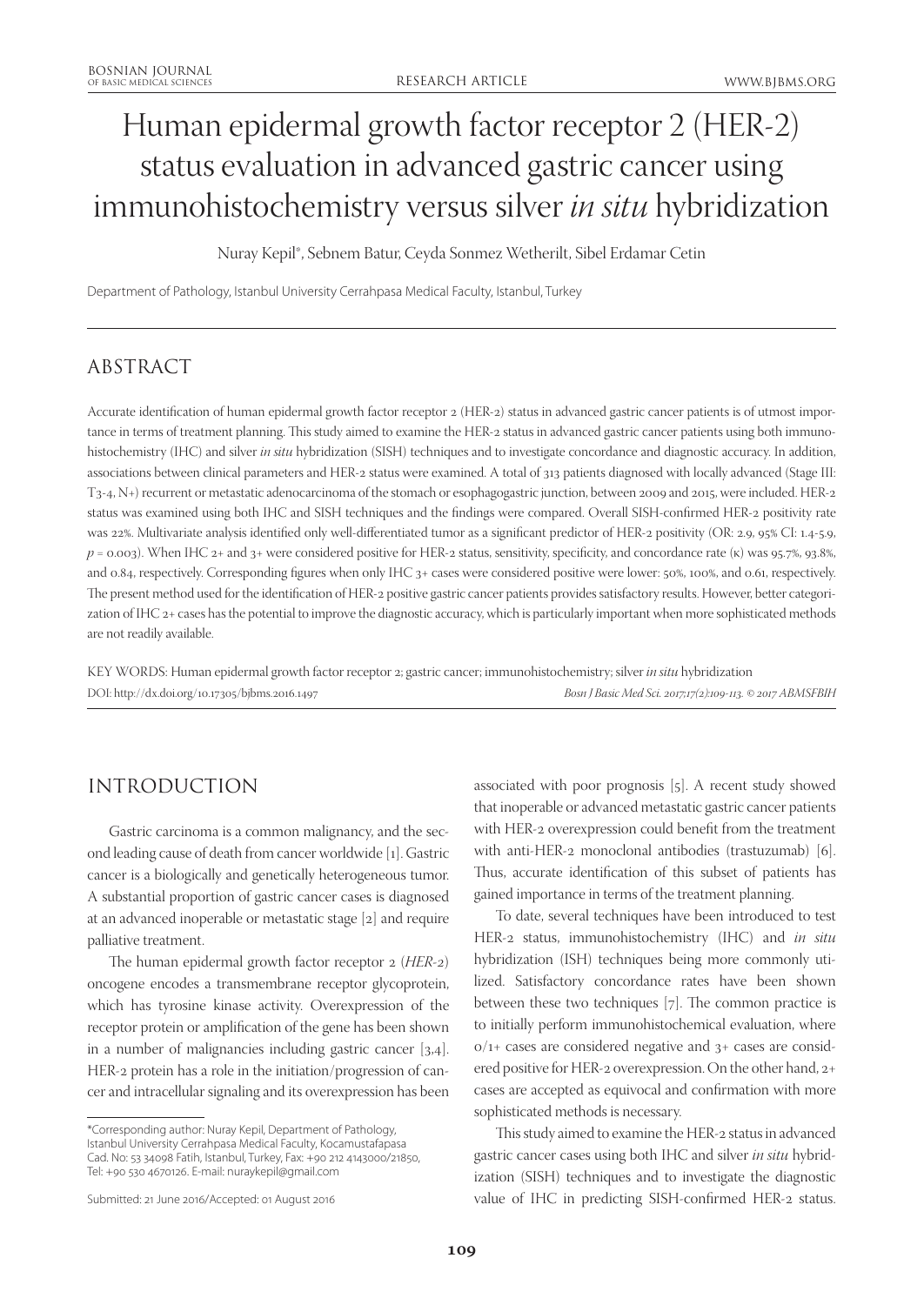# Human epidermal growth factor receptor 2 (HER-2) status evaluation in advanced gastric cancer using immunohistochemistry versus silver *in situ* hybridization

Nuray Kepil\*, Sebnem Batur, Ceyda Sonmez Wetherilt, Sibel Erdamar Cetin

Department of Pathology, Istanbul University Cerrahpasa Medical Faculty, Istanbul, Turkey

# ABSTRACT

Accurate identification of human epidermal growth factor receptor 2 (HER-2) status in advanced gastric cancer patients is of utmost importance in terms of treatment planning. This study aimed to examine the HER-2 status in advanced gastric cancer patients using both immunohistochemistry (IHC) and silver *in situ* hybridization (SISH) techniques and to investigate concordance and diagnostic accuracy. In addition, associations between clinical parameters and HER-2 status were examined. A total of 313 patients diagnosed with locally advanced (Stage III: T3-4, N+) recurrent or metastatic adenocarcinoma of the stomach or esophagogastric junction, between 2009 and 2015, were included. HER-2 status was examined using both IHC and SISH techniques and the findings were compared. Overall SISH-confirmed HER-2 positivity rate was 22%. Multivariate analysis identified only well-differentiated tumor as a significant predictor of HER-2 positivity (OR: 2.9, 95% CI: 1.4-5.9, *p* = 0.003). When IHC 2+ and 3+ were considered positive for HER-2 status, sensitivity, specificity, and concordance rate (κ) was 95.7%, 93.8%, and 0.84, respectively. Corresponding figures when only IHC 3+ cases were considered positive were lower: 50%, 100%, and 0.61, respectively. The present method used for the identification of HER-2 positive gastric cancer patients provides satisfactory results. However, better categorization of IHC 2+ cases has the potential to improve the diagnostic accuracy, which is particularly important when more sophisticated methods are not readily available.

KEY WORDS: Human epidermal growth factor receptor 2; gastric cancer; immunohistochemistry; silver *in situ* hybridization DOI: http://dx.doi.org/10.17305/bjbms.2016.1497 *Bosn J Basic Med Sci. 2017;17(2):109-113. © 2017 ABMSFBIH*

# INTRODUCTION

Gastric carcinoma is a common malignancy, and the second leading cause of death from cancer worldwide [1]. Gastric cancer is a biologically and genetically heterogeneous tumor. A substantial proportion of gastric cancer cases is diagnosed at an advanced inoperable or metastatic stage [2] and require palliative treatment.

The human epidermal growth factor receptor 2 (*HER-2*) oncogene encodes a transmembrane receptor glycoprotein, which has tyrosine kinase activity. Overexpression of the receptor protein or amplification of the gene has been shown in a number of malignancies including gastric cancer [3,4]. HER-2 protein has a role in the initiation/progression of cancer and intracellular signaling and its overexpression has been associated with poor prognosis [5]. A recent study showed that inoperable or advanced metastatic gastric cancer patients with HER-2 overexpression could benefit from the treatment with anti-HER-2 monoclonal antibodies (trastuzumab) [6]. Thus, accurate identification of this subset of patients has gained importance in terms of the treatment planning.

To date, several techniques have been introduced to test HER-2 status, immunohistochemistry (IHC) and *in situ* hybridization (ISH) techniques being more commonly utilized. Satisfactory concordance rates have been shown between these two techniques [7]. The common practice is to initially perform immunohistochemical evaluation, where  $0/1+$  cases are considered negative and  $3+$  cases are considered positive for HER-2 overexpression. On the other hand, 2+ cases are accepted as equivocal and confirmation with more sophisticated methods is necessary.

This study aimed to examine the HER-2 status in advanced gastric cancer cases using both IHC and silver *in situ* hybridization (SISH) techniques and to investigate the diagnostic value of IHC in predicting SISH-confirmed HER-2 status.

<sup>\*</sup>Corresponding author: Nuray Kepil, Department of Pathology, Istanbul University Cerrahpasa Medical Faculty, Kocamustafapasa Cad. No: 53 34098 Fatih, Istanbul, Turkey, Fax: +90 212 4143000/21850, Tel: +90 530 4670126. E-mail: nuraykepil@gmail.com

Submitted: 21 June 2016/Accepted: 01 August 2016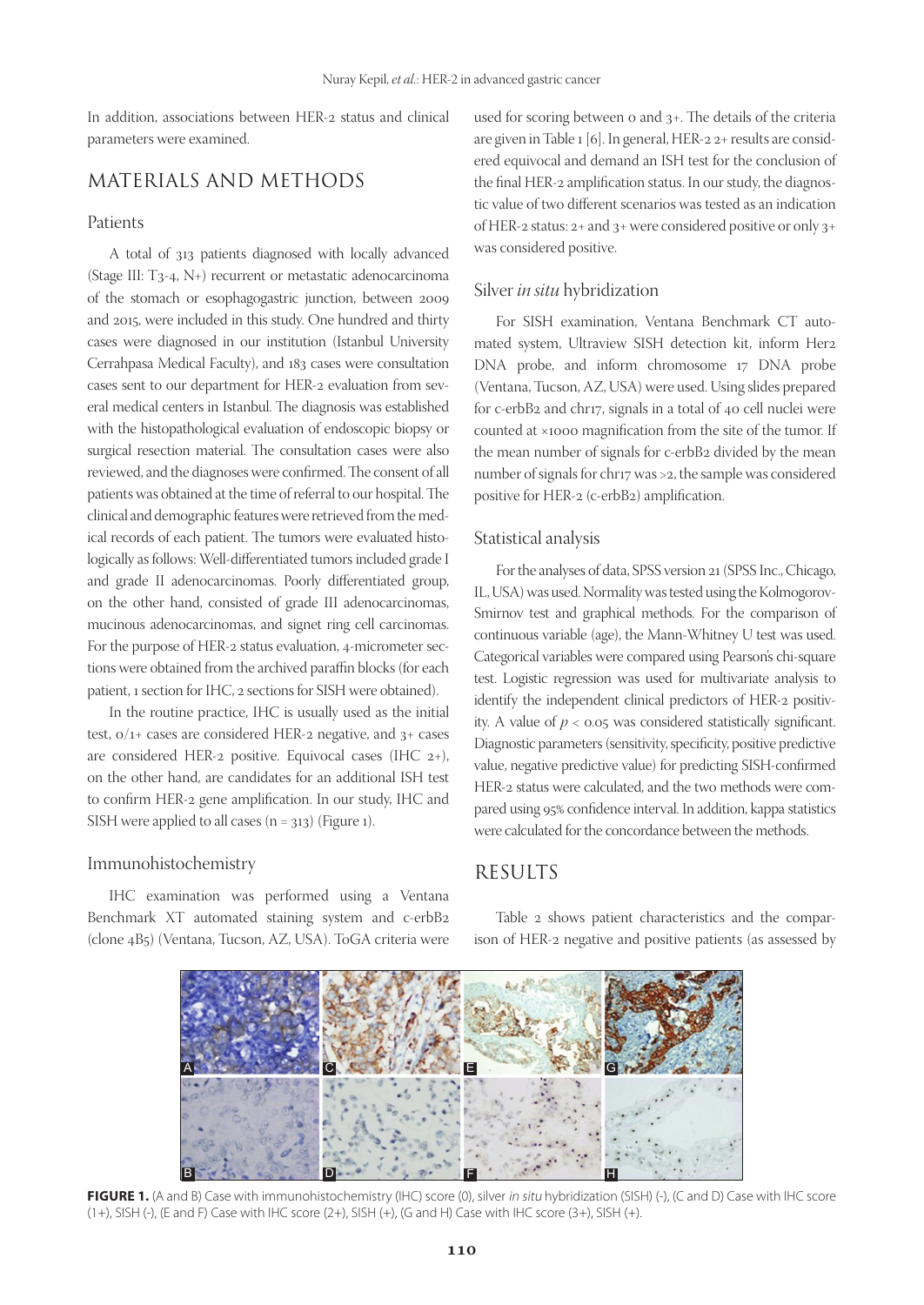In addition, associations between HER-2 status and clinical parameters were examined.

# MATERIALS AND METHODS

#### Patients

A total of 313 patients diagnosed with locally advanced (Stage III: T3-4, N+) recurrent or metastatic adenocarcinoma of the stomach or esophagogastric junction, between 2009 and 2015, were included in this study. One hundred and thirty cases were diagnosed in our institution (Istanbul University Cerrahpasa Medical Faculty), and 183 cases were consultation cases sent to our department for HER-2 evaluation from several medical centers in Istanbul. The diagnosis was established with the histopathological evaluation of endoscopic biopsy or surgical resection material. The consultation cases were also reviewed, and the diagnoses were confirmed. The consent of all patients was obtained at the time of referral to our hospital. The clinical and demographic features were retrieved from the medical records of each patient. The tumors were evaluated histologically as follows: Well-differentiated tumors included grade I and grade II adenocarcinomas. Poorly differentiated group, on the other hand, consisted of grade III adenocarcinomas, mucinous adenocarcinomas, and signet ring cell carcinomas. For the purpose of HER-2 status evaluation, 4-micrometer sections were obtained from the archived paraffin blocks (for each patient, 1 section for IHC, 2 sections for SISH were obtained).

In the routine practice, IHC is usually used as the initial test, 0/1+ cases are considered HER-2 negative, and 3+ cases are considered HER-2 positive. Equivocal cases (IHC 2+), on the other hand, are candidates for an additional ISH test to confirm HER-2 gene amplification. In our study, IHC and SISH were applied to all cases  $(n = 313)$  (Figure 1).

#### Immunohistochemistry

IHC examination was performed using a Ventana Benchmark XT automated staining system and c-erbB2 (clone 4B5) (Ventana, Tucson, AZ, USA). ToGA criteria were used for scoring between 0 and 3+. The details of the criteria are given in Table 1 [6]. In general, HER-2 2+ results are considered equivocal and demand an ISH test for the conclusion of the final HER-2 amplification status. In our study, the diagnostic value of two different scenarios was tested as an indication of HER-2 status: 2+ and 3+ were considered positive or only 3+ was considered positive.

#### Silver *in situ* hybridization

For SISH examination, Ventana Benchmark CT automated system, Ultraview SISH detection kit, inform Her2 DNA probe, and inform chromosome 17 DNA probe (Ventana, Tucson, AZ, USA) were used. Using slides prepared for c-erbB2 and chr17, signals in a total of 40 cell nuclei were counted at ×1000 magnification from the site of the tumor. If the mean number of signals for c-erbB2 divided by the mean number of signals for chr17 was >2, the sample was considered positive for HER-2 (c-erbB2) amplification.

#### Statistical analysis

For the analyses of data, SPSS version 21 (SPSS Inc., Chicago, IL, USA) was used. Normality was tested using the Kolmogorov-Smirnov test and graphical methods. For the comparison of continuous variable (age), the Mann-Whitney U test was used. Categorical variables were compared using Pearson's chi-square test. Logistic regression was used for multivariate analysis to identify the independent clinical predictors of HER-2 positivity. A value of  $p < 0.05$  was considered statistically significant. Diagnostic parameters (sensitivity, specificity, positive predictive value, negative predictive value) for predicting SISH-confirmed HER-2 status were calculated, and the two methods were compared using 95% confidence interval. In addition, kappa statistics were calculated for the concordance between the methods.

## RESULTS

Table 2 shows patient characteristics and the comparison of HER-2 negative and positive patients (as assessed by



FIGURE 1. (A and B) Case with immunohistochemistry (IHC) score (0), silver in situ hybridization (SISH) (-), (C and D) Case with IHC score (1+), SISH (-), (E and F) Case with IHC score (2+), SISH (+), (G and H) Case with IHC score (3+), SISH (+).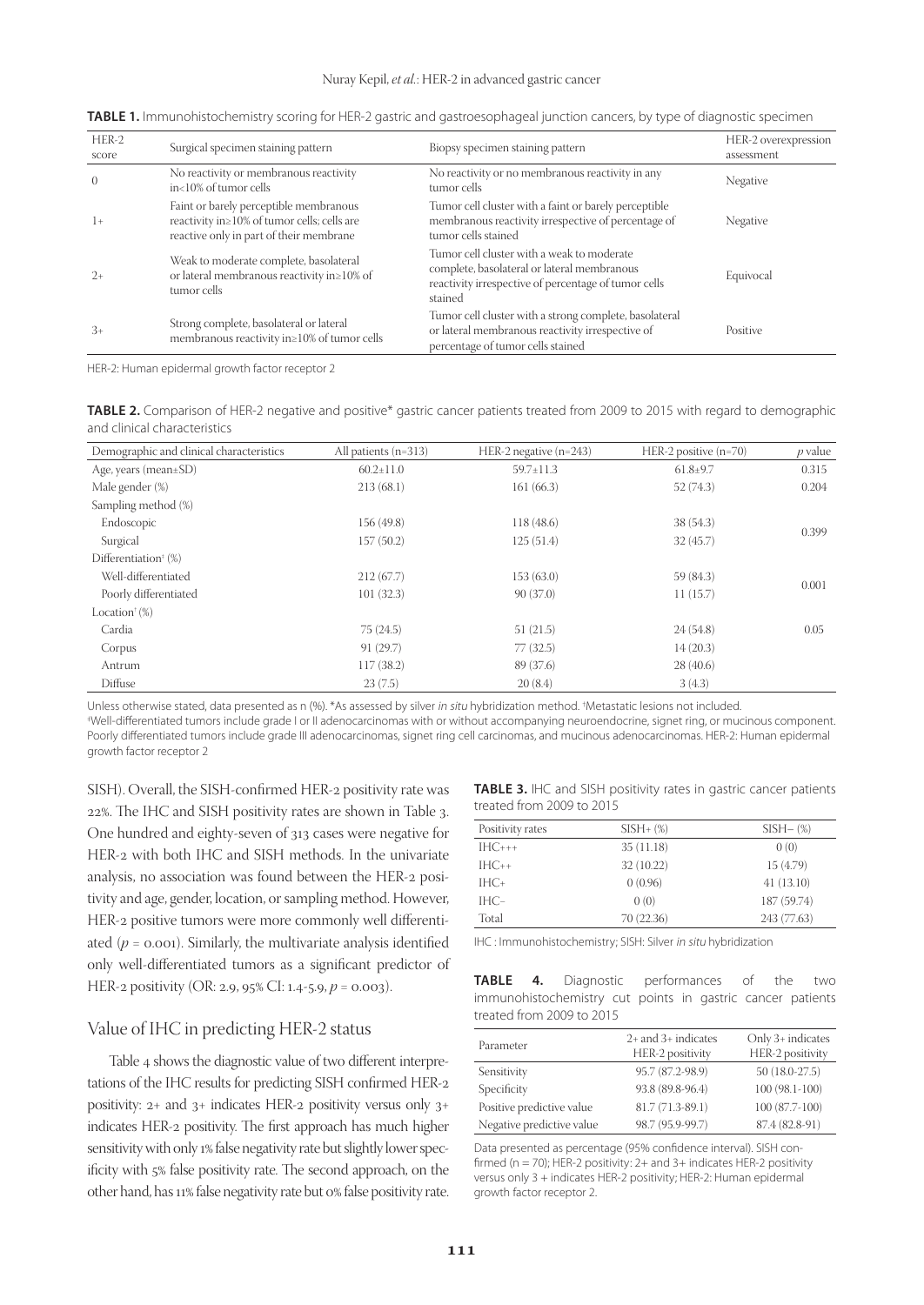| HER-2<br>score | Surgical specimen staining pattern                                                                                                      | Biopsy specimen staining pattern                                                                                                                             | HER-2 overexpression<br>assessment |
|----------------|-----------------------------------------------------------------------------------------------------------------------------------------|--------------------------------------------------------------------------------------------------------------------------------------------------------------|------------------------------------|
| $\overline{0}$ | No reactivity or membranous reactivity<br>in<10% of tumor cells                                                                         | No reactivity or no membranous reactivity in any<br>tumor cells                                                                                              | Negative                           |
| $1+$           | Faint or barely perceptible membranous<br>reactivity in $\geq$ 10% of tumor cells; cells are<br>reactive only in part of their membrane | Tumor cell cluster with a faint or barely perceptible<br>membranous reactivity irrespective of percentage of<br>tumor cells stained                          | Negative                           |
| $2+$           | Weak to moderate complete, basolateral<br>or lateral membranous reactivity in≥10% of<br>tumor cells                                     | Tumor cell cluster with a weak to moderate<br>complete, basolateral or lateral membranous<br>reactivity irrespective of percentage of tumor cells<br>stained | Equivocal                          |
| $3+$           | Strong complete, basolateral or lateral<br>membranous reactivity in≥10% of tumor cells                                                  | Tumor cell cluster with a strong complete, basolateral<br>or lateral membranous reactivity irrespective of<br>percentage of tumor cells stained              | Positive                           |

**TABLE 1.** Immunohistochemistry scoring for HER-2 gastric and gastroesophageal junction cancers, by type of diagnostic specimen

HER-2: Human epidermal growth factor receptor 2

**TABLE 2.** Comparison of HER-2 negative and positive\* gastric cancer patients treated from 2009 to 2015 with regard to demographic and clinical characteristics

| Demographic and clinical characteristics      | All patients $(n=313)$ | HER-2 negative $(n=243)$ | HER-2 positive $(n=70)$ | $p$ value |
|-----------------------------------------------|------------------------|--------------------------|-------------------------|-----------|
| Age, years (mean $\pm$ SD)                    | $60.2 \pm 11.0$        | $59.7 \pm 11.3$          | $61.8{\pm}9.7$          | 0.315     |
| Male gender (%)                               | 213(68.1)              | 161(66.3)                | 52(74.3)                | 0.204     |
| Sampling method (%)                           |                        |                          |                         |           |
| Endoscopic                                    | 156 (49.8)             | 118(48.6)                | 38 (54.3)               | 0.399     |
| Surgical                                      | 157(50.2)              | 125(51.4)                | 32(45.7)                |           |
| Differentiation <sup><math>*</math></sup> (%) |                        |                          |                         |           |
| Well-differentiated                           | 212(67.7)              | 153(63.0)                | 59 (84.3)               |           |
| Poorly differentiated                         | 101(32.3)              | 90(37.0)                 | 11(15.7)                | 0.001     |
| Location <sup><math>\dagger</math></sup> (%)  |                        |                          |                         |           |
| Cardia                                        | 75(24.5)               | 51(21.5)                 | 24(54.8)                | 0.05      |
| Corpus                                        | 91(29.7)               | 77 (32.5)                | 14(20.3)                |           |
| Antrum                                        | 117(38.2)              | 89 (37.6)                | 28(40.6)                |           |
| Diffuse                                       | 23(7.5)                | 20(8.4)                  | 3(4.3)                  |           |

Unless otherwise stated, data presented as n (%). \*As assessed by silver *in situ* hybridization method. †Metastatic lesions not included.<br><u>‡Well-differentiated tumors include arade Lor II adenocarcinomas with or without a</u>

Well-differentiated tumors include grade I or II adenocarcinomas with or without accompanying neuroendocrine, signet ring, or mucinous component. Poorly differentiated tumors include grade III adenocarcinomas, signet ring cell carcinomas, and mucinous adenocarcinomas. HER-2: Human epidermal growth factor receptor 2

SISH). Overall, the SISH-confirmed HER-2 positivity rate was 22%. The IHC and SISH positivity rates are shown in Table 3. One hundred and eighty-seven of 313 cases were negative for HER-2 with both IHC and SISH methods. In the univariate analysis, no association was found between the HER-2 positivity and age, gender, location, or sampling method. However, HER-2 positive tumors were more commonly well differentiated  $(p = 0.001)$ . Similarly, the multivariate analysis identified only well-differentiated tumors as a significant predictor of HER-2 positivity (OR: 2.9, 95% CI: 1.4-5.9, *p* = 0.003).

## **TABLE 3.** IHC and SISH positivity rates in gastric cancer patients treated from 2009 to 2015

| Positivity rates | $SISH+(%)$ | $SISH (\%)$ |
|------------------|------------|-------------|
| $IHC_{+++}$      | 35(11.18)  | 0(0)        |
| $IHC++$          | 32 (10.22) | 15 (4.79)   |
| $IHC +$          | 0(0.96)    | 41(13.10)   |
| $IHC-$           | 0(0)       | 187 (59.74) |
| Total            | 70 (22.36) | 243 (77.63) |

IHC : Immunohistochemistry; SISH: Silver in situ hybridization

#### Value of IHC in predicting HER-2 status

Table 4 shows the diagnostic value of two different interpretations of the IHC results for predicting SISH confirmed HER-2 positivity: 2+ and 3+ indicates HER-2 positivity versus only 3+ indicates HER-2 positivity. The first approach has much higher sensitivity with only 1% false negativity rate but slightly lower specificity with 5% false positivity rate. The second approach, on the other hand, has 11% false negativity rate but 0% false positivity rate.

| <b>TABLE 4.</b> Diagnostic performances of the two         |  |  |  |  |  |
|------------------------------------------------------------|--|--|--|--|--|
| immunohistochemistry cut points in gastric cancer patients |  |  |  |  |  |
| treated from 2009 to 2015                                  |  |  |  |  |  |

| Parameter                 | $2+$ and $3+$ indicates<br>HER-2 positivity | Only 3+ indicates<br>HER-2 positivity |
|---------------------------|---------------------------------------------|---------------------------------------|
| Sensitivity               | 95.7 (87.2-98.9)                            | $50(18.0-27.5)$                       |
| Specificity               | 93.8 (89.8-96.4)                            | $100(98.1-100)$                       |
| Positive predictive value | 81.7 (71.3-89.1)                            | 100 (87.7-100)                        |
| Negative predictive value | 98.7 (95.9-99.7)                            | 87.4 (82.8-91)                        |

Data presented as percentage (95% confidence interval). SISH confirmed ( $n = 70$ ); HER-2 positivity: 2+ and 3+ indicates HER-2 positivity versus only 3 + indicates HER-2 positivity; HER-2: Human epidermal growth factor receptor 2.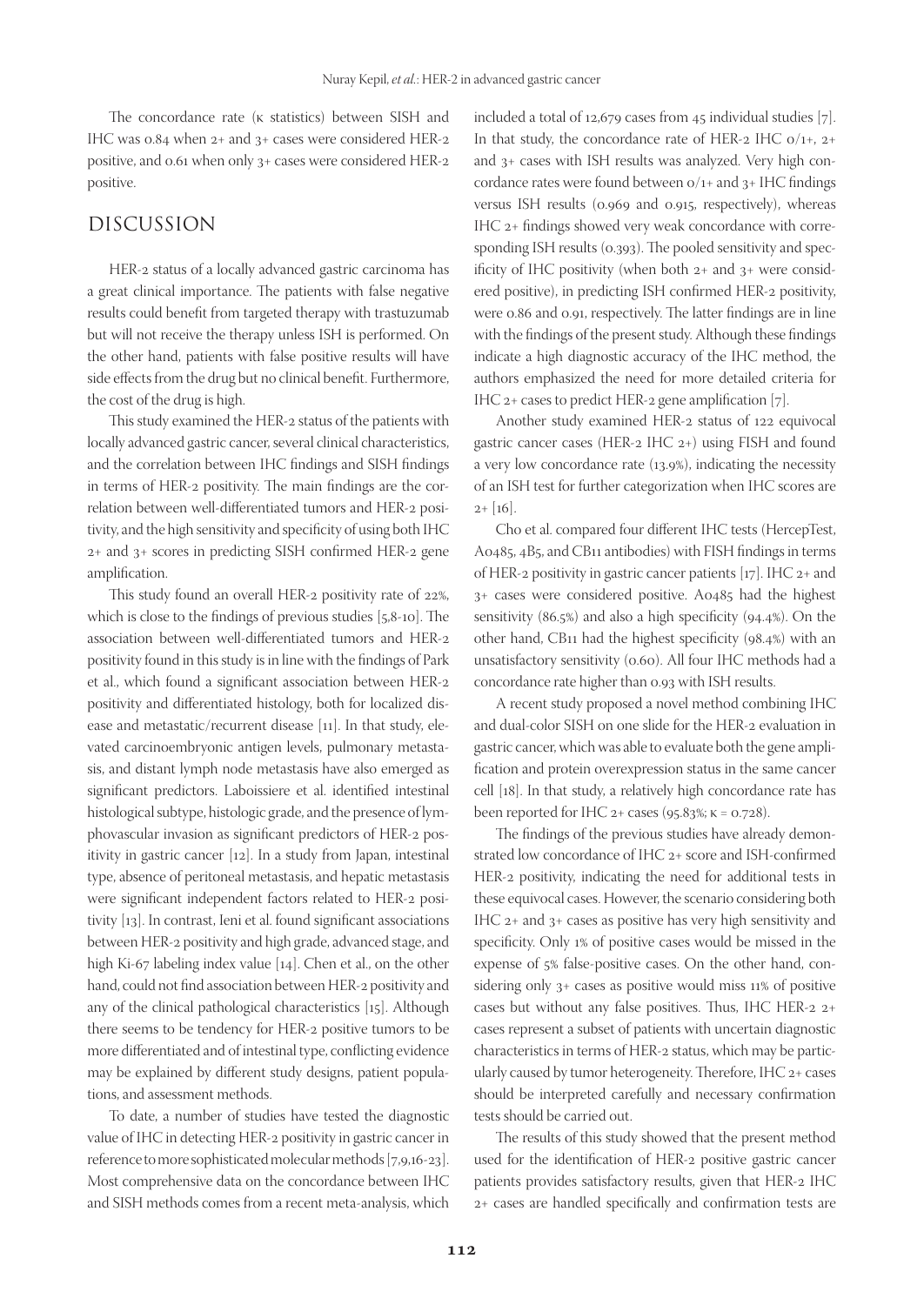The concordance rate (κ statistics) between SISH and IHC was 0.84 when 2+ and 3+ cases were considered HER-2 positive, and 0.61 when only 3+ cases were considered HER-2 positive.

### DISCUSSION

HER-2 status of a locally advanced gastric carcinoma has a great clinical importance. The patients with false negative results could benefit from targeted therapy with trastuzumab but will not receive the therapy unless ISH is performed. On the other hand, patients with false positive results will have side effects from the drug but no clinical benefit. Furthermore, the cost of the drug is high.

This study examined the HER-2 status of the patients with locally advanced gastric cancer, several clinical characteristics, and the correlation between IHC findings and SISH findings in terms of HER-2 positivity. The main findings are the correlation between well-differentiated tumors and HER-2 positivity, and the high sensitivity and specificity of using both IHC 2+ and 3+ scores in predicting SISH confirmed HER-2 gene amplification.

This study found an overall HER-2 positivity rate of 22%, which is close to the findings of previous studies [5,8-10]. The association between well-differentiated tumors and HER-2 positivity found in this study is in line with the findings of Park et al., which found a significant association between HER-2 positivity and differentiated histology, both for localized disease and metastatic/recurrent disease [11]. In that study, elevated carcinoembryonic antigen levels, pulmonary metastasis, and distant lymph node metastasis have also emerged as significant predictors. Laboissiere et al. identified intestinal histological subtype, histologic grade, and the presence of lymphovascular invasion as significant predictors of HER-2 positivity in gastric cancer [12]. In a study from Japan, intestinal type, absence of peritoneal metastasis, and hepatic metastasis were significant independent factors related to HER-2 positivity [13]. In contrast, Ieni et al. found significant associations between HER-2 positivity and high grade, advanced stage, and high Ki-67 labeling index value [14]. Chen et al., on the other hand, could not find association between HER-2 positivity and any of the clinical pathological characteristics [15]. Although there seems to be tendency for HER-2 positive tumors to be more differentiated and of intestinal type, conflicting evidence may be explained by different study designs, patient populations, and assessment methods.

To date, a number of studies have tested the diagnostic value of IHC in detecting HER-2 positivity in gastric cancer in reference to more sophisticated molecular methods [7,9,16-23]. Most comprehensive data on the concordance between IHC and SISH methods comes from a recent meta-analysis, which

included a total of 12,679 cases from 45 individual studies [7]. In that study, the concordance rate of HER-2 IHC  $o/1+$ , 2+ and 3+ cases with ISH results was analyzed. Very high concordance rates were found between 0/1+ and 3+ IHC findings versus ISH results (0.969 and 0.915, respectively), whereas IHC 2+ findings showed very weak concordance with corresponding ISH results (0.393). The pooled sensitivity and specificity of IHC positivity (when both 2+ and 3+ were considered positive), in predicting ISH confirmed HER-2 positivity, were 0.86 and 0.91, respectively. The latter findings are in line with the findings of the present study. Although these findings indicate a high diagnostic accuracy of the IHC method, the authors emphasized the need for more detailed criteria for IHC 2+ cases to predict HER-2 gene amplification [7].

Another study examined HER-2 status of 122 equivocal gastric cancer cases (HER-2 IHC 2+) using FISH and found a very low concordance rate (13.9%), indicating the necessity of an ISH test for further categorization when IHC scores are  $2+[16]$ .

Cho et al. compared four different IHC tests (HercepTest, A0485, 4B5, and CB11 antibodies) with FISH findings in terms of HER-2 positivity in gastric cancer patients [17]. IHC 2+ and 3+ cases were considered positive. A0485 had the highest sensitivity (86.5%) and also a high specificity (94.4%). On the other hand, CB11 had the highest specificity (98.4%) with an unsatisfactory sensitivity (0.60). All four IHC methods had a concordance rate higher than 0.93 with ISH results.

A recent study proposed a novel method combining IHC and dual-color SISH on one slide for the HER-2 evaluation in gastric cancer, which was able to evaluate both the gene amplification and protein overexpression status in the same cancer cell [18]. In that study, a relatively high concordance rate has been reported for IHC  $2+$  cases (95.83%;  $\kappa$  = 0.728).

The findings of the previous studies have already demonstrated low concordance of IHC 2+ score and ISH-confirmed HER-2 positivity, indicating the need for additional tests in these equivocal cases. However, the scenario considering both IHC 2+ and 3+ cases as positive has very high sensitivity and specificity. Only 1% of positive cases would be missed in the expense of 5% false-positive cases. On the other hand, considering only 3+ cases as positive would miss 11% of positive cases but without any false positives. Thus, IHC HER-2 2+ cases represent a subset of patients with uncertain diagnostic characteristics in terms of HER-2 status, which may be particularly caused by tumor heterogeneity. Therefore, IHC 2+ cases should be interpreted carefully and necessary confirmation tests should be carried out.

The results of this study showed that the present method used for the identification of HER-2 positive gastric cancer patients provides satisfactory results, given that HER-2 IHC 2+ cases are handled specifically and confirmation tests are